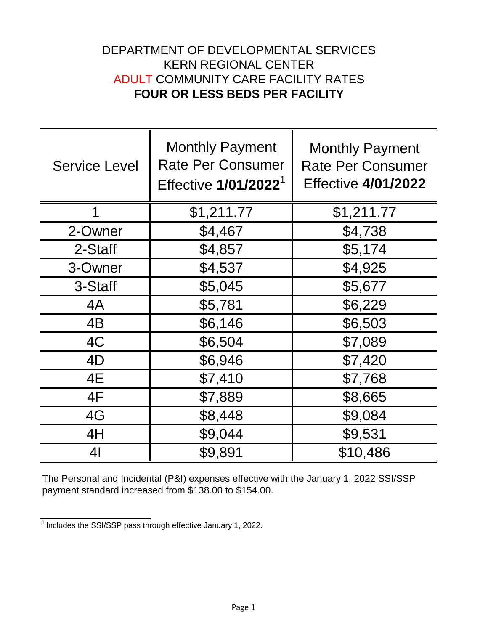## DEPARTMENT OF DEVELOPMENTAL SERVICES KERN REGIONAL CENTER ADULT COMMUNITY CARE FACILITY RATES **FOUR OR LESS BEDS PER FACILITY**

| <b>Service Level</b> | <b>Monthly Payment</b><br><b>Rate Per Consumer</b><br>Effective 1/01/2022 <sup>1</sup> | <b>Monthly Payment</b><br><b>Rate Per Consumer</b><br><b>Effective 4/01/2022</b> |
|----------------------|----------------------------------------------------------------------------------------|----------------------------------------------------------------------------------|
| 1                    | \$1,211.77                                                                             | \$1,211.77                                                                       |
| 2-Owner              | \$4,467                                                                                | \$4,738                                                                          |
| 2-Staff              | \$4,857                                                                                | \$5,174                                                                          |
| 3-Owner              | \$4,537                                                                                | \$4,925                                                                          |
| 3-Staff              | \$5,045                                                                                | \$5,677                                                                          |
| 4A                   | \$5,781                                                                                | \$6,229                                                                          |
| 4B                   | \$6,146                                                                                | \$6,503                                                                          |
| 4C                   | \$6,504                                                                                | \$7,089                                                                          |
| 4D                   | \$6,946                                                                                | \$7,420                                                                          |
| 4E                   | \$7,410                                                                                | \$7,768                                                                          |
| 4F                   | \$7,889                                                                                | \$8,665                                                                          |
| 4G                   | \$8,448                                                                                | \$9,084                                                                          |
| 4H                   | \$9,044                                                                                | \$9,531                                                                          |
| 4 <sub>l</sub>       | \$9,891                                                                                | \$10,486                                                                         |

The Personal and Incidental (P&I) expenses effective with the January 1, 2022 SSI/SSP payment standard increased from \$138.00 to \$154.00.

 $\frac{1}{1}$  Includes the SSI/SSP pass through effective January 1, 2022.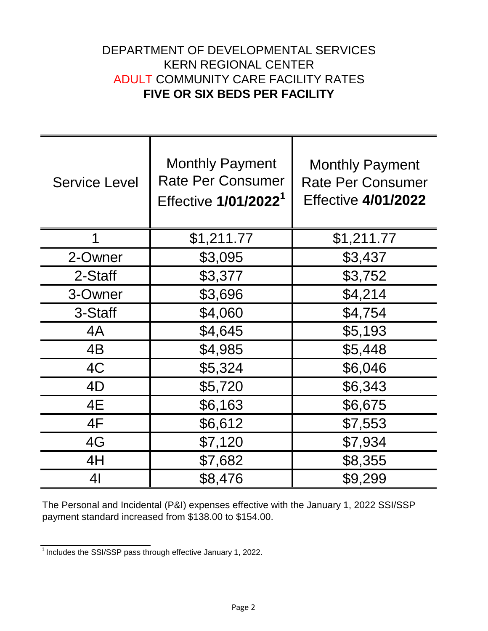## DEPARTMENT OF DEVELOPMENTAL SERVICES KERN REGIONAL CENTER ADULT COMMUNITY CARE FACILITY RATES **FIVE OR SIX BEDS PER FACILITY**

| <b>Service Level</b> | <b>Monthly Payment</b><br><b>Rate Per Consumer</b><br>Effective 1/01/2022 <sup>1</sup> | <b>Monthly Payment</b><br><b>Rate Per Consumer</b><br><b>Effective 4/01/2022</b> |
|----------------------|----------------------------------------------------------------------------------------|----------------------------------------------------------------------------------|
| 1                    | \$1,211.77                                                                             | \$1,211.77                                                                       |
| 2-Owner              | \$3,095                                                                                | \$3,437                                                                          |
| 2-Staff              | \$3,377                                                                                | \$3,752                                                                          |
| 3-Owner              | \$3,696                                                                                | \$4,214                                                                          |
| 3-Staff              | \$4,060                                                                                | \$4,754                                                                          |
| 4A                   | \$4,645                                                                                | \$5,193                                                                          |
| 4B                   | \$4,985                                                                                | \$5,448                                                                          |
| 4C                   | \$5,324                                                                                | \$6,046                                                                          |
| 4D                   | \$5,720                                                                                | \$6,343                                                                          |
| 4E                   | \$6,163                                                                                | \$6,675                                                                          |
| 4F                   | \$6,612                                                                                | \$7,553                                                                          |
| 4G                   | \$7,120                                                                                | \$7,934                                                                          |
| 4H                   | \$7,682                                                                                | \$8,355                                                                          |
| 41                   | \$8,476                                                                                | \$9,299                                                                          |

The Personal and Incidental (P&I) expenses effective with the January 1, 2022 SSI/SSP payment standard increased from \$138.00 to \$154.00.

 $\frac{1}{1}$  Includes the SSI/SSP pass through effective January 1, 2022.